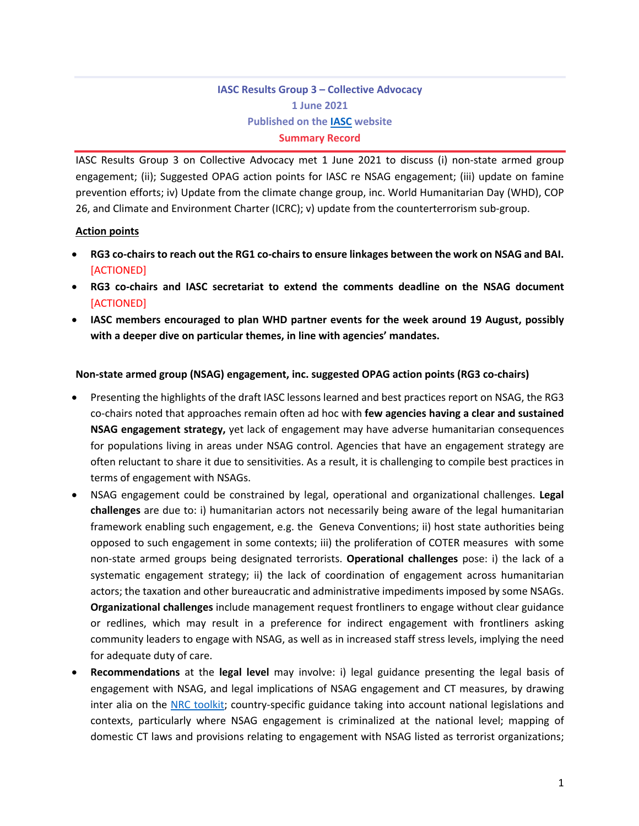# **IASC Results Group 3 – Collective Advocacy 1 June 2021 Published on the IASC website Summary Record**

IASC Results Group 3 on Collective Advocacy met 1 June 2021 to discuss (i) non-state armed group engagement; (ii); Suggested OPAG action points for IASC re NSAG engagement; (iii) update on famine prevention efforts; iv) Update from the climate change group, inc. World Humanitarian Day (WHD), COP 26, and Climate and Environment Charter (ICRC); v) update from the counterterrorism sub-group.

#### **Action points**

- **RG3 co-chairs to reach out the RG1 co-chairs to ensure linkages between the work on NSAG and BAI.** [ACTIONED]
- **RG3 co-chairs and IASC secretariat to extend the comments deadline on the NSAG document**  [ACTIONED]
- **IASC members encouraged to plan WHD partner events for the week around 19 August, possibly with a deeper dive on particular themes, in line with agencies' mandates.**

#### **Non-state armed group (NSAG) engagement, inc. suggested OPAG action points (RG3 co-chairs)**

- Presenting the highlights of the draft IASC lessons learned and best practices report on NSAG, the RG3 co-chairs noted that approaches remain often ad hoc with **few agencies having a clear and sustained NSAG engagement strategy,** yet lack of engagement may have adverse humanitarian consequences for populations living in areas under NSAG control. Agencies that have an engagement strategy are often reluctant to share it due to sensitivities. As a result, it is challenging to compile best practices in terms of engagement with NSAGs.
- NSAG engagement could be constrained by legal, operational and organizational challenges. **Legal challenges** are due to: i) humanitarian actors not necessarily being aware of the legal humanitarian framework enabling such engagement, e.g. the Geneva Conventions; ii) host state authorities being opposed to such engagement in some contexts; iii) the proliferation of COTER measures with some non-state armed groups being designated terrorists. **Operational challenges** pose: i) the lack of a systematic engagement strategy; ii) the lack of coordination of engagement across humanitarian actors; the taxation and other bureaucratic and administrative impediments imposed by some NSAGs. **Organizational challenges** include management request frontliners to engage without clear guidance or redlines, which may result in a preference for indirect engagement with frontliners asking community leaders to engage with NSAG, as well as in increased staff stress levels, implying the need for adequate duty of care.
- **Recommendations** at the **legal level** may involve: i) legal guidance presenting the legal basis of engagement with NSAG, and legal implications of NSAG engagement and CT measures, by drawing inter alia on the NRC toolkit; country-specific guidance taking into account national legislations and contexts, particularly where NSAG engagement is criminalized at the national level; mapping of domestic CT laws and provisions relating to engagement with NSAG listed as terrorist organizations;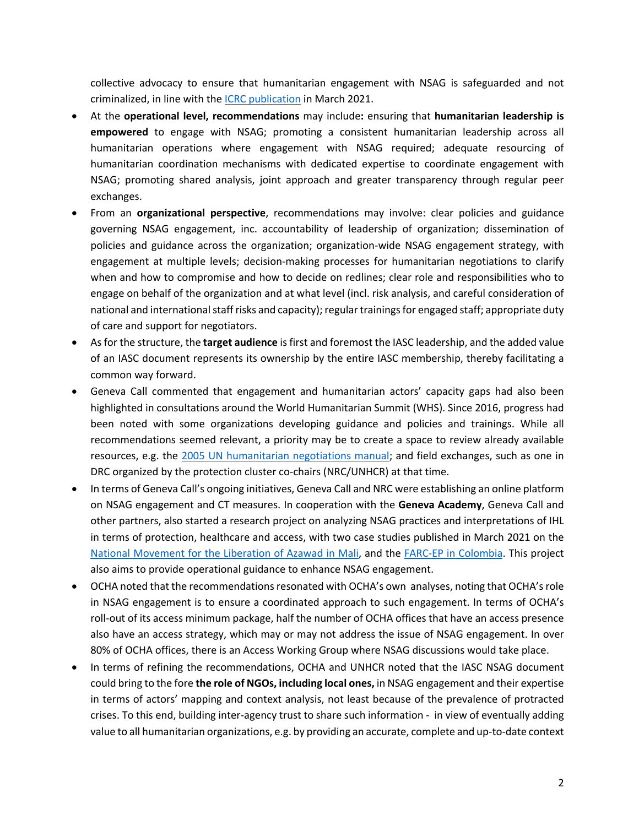collective advocacy to ensure that humanitarian engagement with NSAG is safeguarded and not criminalized, in line with the ICRC publication in March 2021.

- At the **operational level, recommendations** may include**:** ensuring that **humanitarian leadership is empowered** to engage with NSAG; promoting a consistent humanitarian leadership across all humanitarian operations where engagement with NSAG required; adequate resourcing of humanitarian coordination mechanisms with dedicated expertise to coordinate engagement with NSAG; promoting shared analysis, joint approach and greater transparency through regular peer exchanges.
- From an **organizational perspective**, recommendations may involve: clear policies and guidance governing NSAG engagement, inc. accountability of leadership of organization; dissemination of policies and guidance across the organization; organization-wide NSAG engagement strategy, with engagement at multiple levels; decision-making processes for humanitarian negotiations to clarify when and how to compromise and how to decide on redlines; clear role and responsibilities who to engage on behalf of the organization and at what level (incl. risk analysis, and careful consideration of national and international staff risks and capacity); regular trainingsfor engaged staff; appropriate duty of care and support for negotiators.
- As for the structure, the **target audience** is first and foremost the IASC leadership, and the added value of an IASC document represents its ownership by the entire IASC membership, thereby facilitating a common way forward.
- Geneva Call commented that engagement and humanitarian actors' capacity gaps had also been highlighted in consultations around the World Humanitarian Summit (WHS). Since 2016, progress had been noted with some organizations developing guidance and policies and trainings. While all recommendations seemed relevant, a priority may be to create a space to review already available resources, e.g. the 2005 UN humanitarian negotiations manual; and field exchanges, such as one in DRC organized by the protection cluster co-chairs (NRC/UNHCR) at that time.
- In terms of Geneva Call's ongoing initiatives, Geneva Call and NRC were establishing an online platform on NSAG engagement and CT measures. In cooperation with the **Geneva Academy**, Geneva Call and other partners, also started a research project on analyzing NSAG practices and interpretations of IHL in terms of protection, healthcare and access, with two case studies published in March 2021 on the National Movement for the Liberation of Azawad in Mali, and the FARC-EP in Colombia. This project also aims to provide operational guidance to enhance NSAG engagement.
- OCHA noted that the recommendations resonated with OCHA's own analyses, noting that OCHA's role in NSAG engagement is to ensure a coordinated approach to such engagement. In terms of OCHA's roll-out of its access minimum package, half the number of OCHA offices that have an access presence also have an access strategy, which may or may not address the issue of NSAG engagement. In over 80% of OCHA offices, there is an Access Working Group where NSAG discussions would take place.
- In terms of refining the recommendations, OCHA and UNHCR noted that the IASC NSAG document could bring to the fore **the role of NGOs, including local ones,** in NSAG engagement and their expertise in terms of actors' mapping and context analysis, not least because of the prevalence of protracted crises. To this end, building inter-agency trust to share such information - in view of eventually adding value to all humanitarian organizations, e.g. by providing an accurate, complete and up-to-date context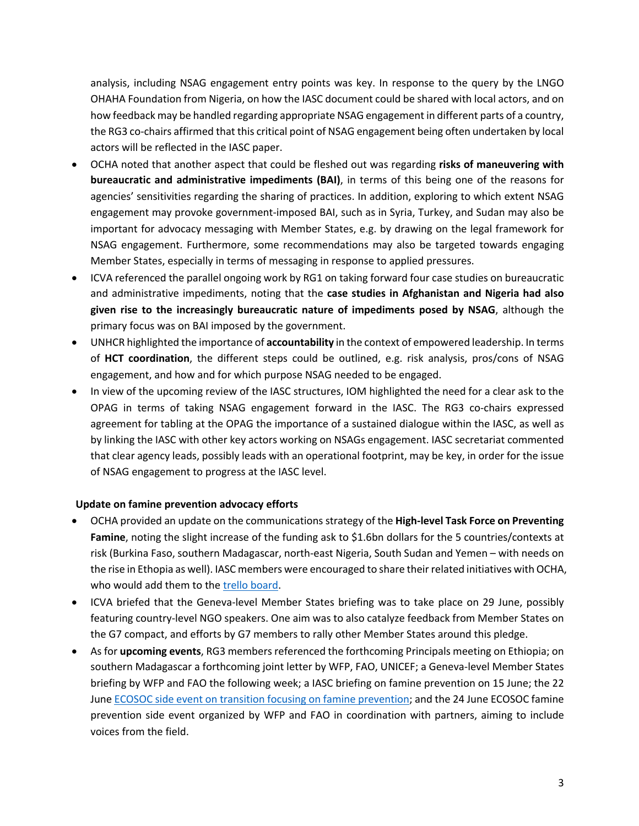analysis, including NSAG engagement entry points was key. In response to the query by the LNGO OHAHA Foundation from Nigeria, on how the IASC document could be shared with local actors, and on how feedback may be handled regarding appropriate NSAG engagement in different parts of a country, the RG3 co-chairs affirmed that this critical point of NSAG engagement being often undertaken by local actors will be reflected in the IASC paper.

- OCHA noted that another aspect that could be fleshed out was regarding **risks of maneuvering with bureaucratic and administrative impediments (BAI)**, in terms of this being one of the reasons for agencies' sensitivities regarding the sharing of practices. In addition, exploring to which extent NSAG engagement may provoke government-imposed BAI, such as in Syria, Turkey, and Sudan may also be important for advocacy messaging with Member States, e.g. by drawing on the legal framework for NSAG engagement. Furthermore, some recommendations may also be targeted towards engaging Member States, especially in terms of messaging in response to applied pressures.
- ICVA referenced the parallel ongoing work by RG1 on taking forward four case studies on bureaucratic and administrative impediments, noting that the **case studies in Afghanistan and Nigeria had also given rise to the increasingly bureaucratic nature of impediments posed by NSAG**, although the primary focus was on BAI imposed by the government.
- UNHCR highlighted the importance of **accountability** in the context of empowered leadership. In terms of **HCT coordination**, the different steps could be outlined, e.g. risk analysis, pros/cons of NSAG engagement, and how and for which purpose NSAG needed to be engaged.
- In view of the upcoming review of the IASC structures, IOM highlighted the need for a clear ask to the OPAG in terms of taking NSAG engagement forward in the IASC. The RG3 co-chairs expressed agreement for tabling at the OPAG the importance of a sustained dialogue within the IASC, as well as by linking the IASC with other key actors working on NSAGs engagement. IASC secretariat commented that clear agency leads, possibly leads with an operational footprint, may be key, in order for the issue of NSAG engagement to progress at the IASC level.

## **Update on famine prevention advocacy efforts**

- OCHA provided an update on the communications strategy of the **High-level Task Force on Preventing Famine**, noting the slight increase of the funding ask to \$1.6bn dollars for the 5 countries/contexts at risk (Burkina Faso, southern Madagascar, north-east Nigeria, South Sudan and Yemen – with needs on the rise in Ethopia as well). IASC members were encouraged to share their related initiatives with OCHA, who would add them to the trello board.
- ICVA briefed that the Geneva-level Member States briefing was to take place on 29 June, possibly featuring country-level NGO speakers. One aim was to also catalyze feedback from Member States on the G7 compact, and efforts by G7 members to rally other Member States around this pledge.
- As for **upcoming events**, RG3 members referenced the forthcoming Principals meeting on Ethiopia; on southern Madagascar a forthcoming joint letter by WFP, FAO, UNICEF; a Geneva-level Member States briefing by WFP and FAO the following week; a IASC briefing on famine prevention on 15 June; the 22 June ECOSOC side event on transition focusing on famine prevention; and the 24 June ECOSOC famine prevention side event organized by WFP and FAO in coordination with partners, aiming to include voices from the field.